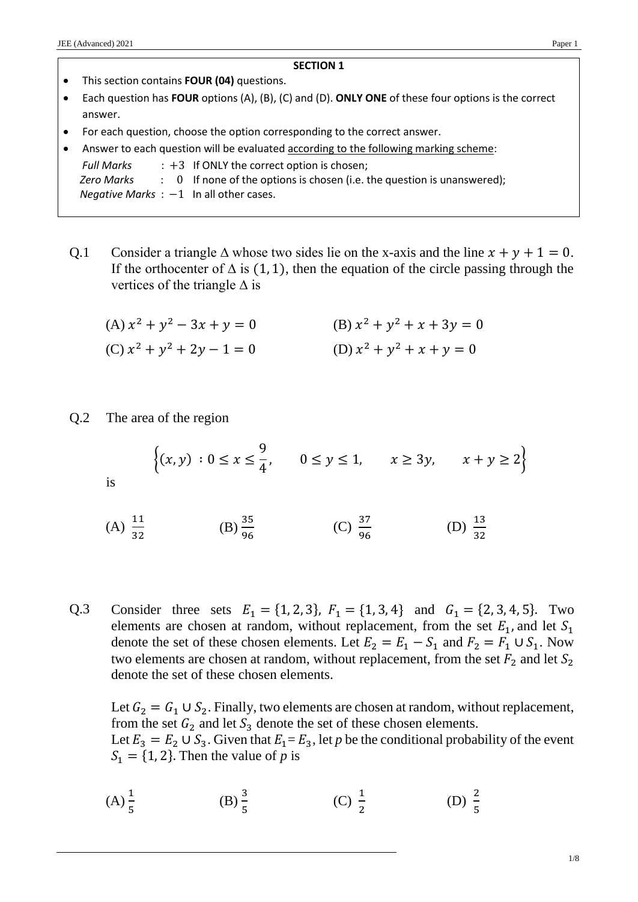#### **SECTION 1**

- This section contains **FOUR (04)** questions.
- Each question has **FOUR** options (A), (B), (C) and (D). **ONLY ONE** of these four options is the correct answer.
- For each question, choose the option corresponding to the correct answer.
- Answer to each question will be evaluated according to the following marking scheme:

```
Full Marks : +3 If ONLY the correct option is chosen;
```
 *Zero Marks* : 0 If none of the options is chosen (i.e. the question is unanswered); *Negative Marks* : −1 In all other cases.

Q.1 Consider a triangle  $\Delta$  whose two sides lie on the x-axis and the line  $x + y + 1 = 0$ . If the orthocenter of  $\Delta$  is (1, 1), then the equation of the circle passing through the vertices of the triangle  $\Delta$  is

(A) 
$$
x^2 + y^2 - 3x + y = 0
$$
 (B)  $x^2 + y^2 + x + 3y = 0$ 

(C) 
$$
x^2 + y^2 + 2y - 1 = 0
$$
 (D)  $x^2 + y^2 + x + y = 0$ 

Q.2 The area of the region

is

$$
\left\{ (x, y) : 0 \le x \le \frac{9}{4}, \quad 0 \le y \le 1, \quad x \ge 3y, \quad x + y \ge 2 \right\}
$$

(A) 
$$
\frac{11}{32}
$$
 \t(B)  $\frac{35}{96}$  \t(C)  $\frac{37}{96}$  \t(D)  $\frac{13}{32}$ 

Q.3 Consider three sets  $E_1 = \{1, 2, 3\}$ ,  $F_1 = \{1, 3, 4\}$  and  $G_1 = \{2, 3, 4, 5\}$ . Two elements are chosen at random, without replacement, from the set  $E_1$ , and let  $S_1$ denote the set of these chosen elements. Let  $E_2 = E_1 - S_1$  and  $F_2 = F_1 \cup S_1$ . Now two elements are chosen at random, without replacement, from the set  $F_2$  and let  $S_2$ denote the set of these chosen elements.

Let  $G_2 = G_1 \cup S_2$ . Finally, two elements are chosen at random, without replacement, from the set  $G_2$  and let  $S_3$  denote the set of these chosen elements. Let  $E_3 = E_2 \cup S_3$ . Given that  $E_1 = E_3$ , let p be the conditional probability of the event  $S_1 = \{1, 2\}$ . Then the value of p is

(A) 
$$
\frac{1}{5}
$$
 \t(B)  $\frac{3}{5}$  \t(C)  $\frac{1}{2}$  \t(D)  $\frac{2}{5}$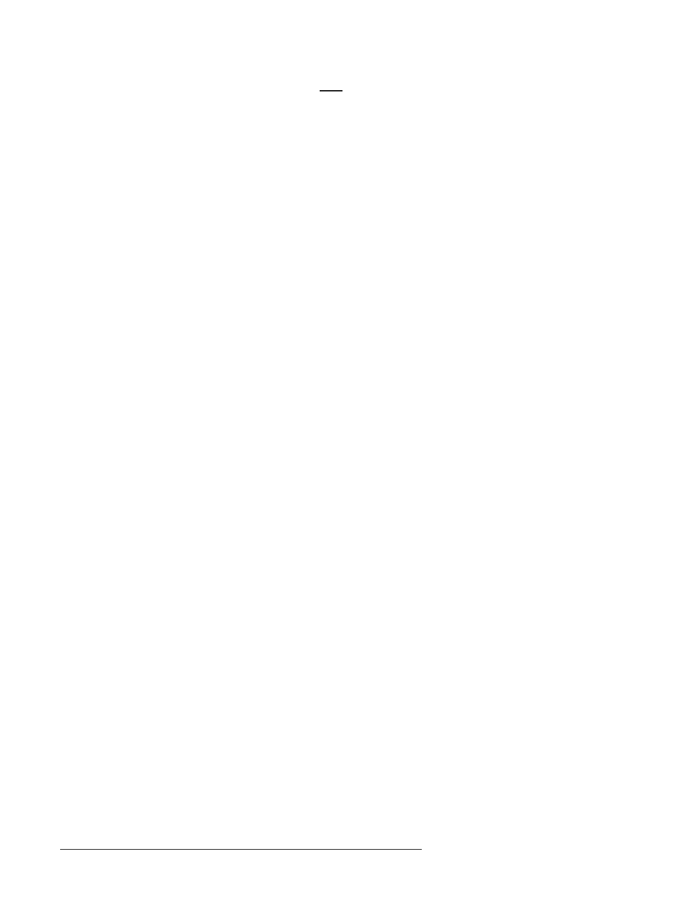$Q.4$ Let  $\dot{a}_5 \dot{\hat{a}}_6 \dot{\hat{a}}_6 \dot{\hat{a}}_5$   $\dot{a}_6$  be positive valued angles (in radian) such that  $a_5$  E  $a_6$  E ® E  $a_{5,4}$  L t è Define the complex numbers L A<sup>U</sup> a V<sub>b</sub> L V<sub>25</sub>A<sup>U</sup> o for GL t áuáå ás ráwhere EL  $\sqrt[3]{\frac{1}{2}}$  . Consider the statement2 and 3 given below.

2:  $\sqrt{6}$  F V<sub>2</sub> E V<sub>2</sub> F V<sub>2</sub> F V<sub>2</sub> E V<sub>2</sub> F V<sub>24</sub> Q tè

3:  $\sqrt{6}$  F  $\sqrt{6}$  E  $\sqrt{6}$  F  $\sqrt{6}$  E  $\mathcal{O}$  E  $\sqrt{6}$  E  $\sqrt{6}$  E  $\sqrt{6}$  F  $\sqrt{6}$  Q vè

Then

- (A) P is TRUE and 3 is FALSE
- (B) 3 is TRUE andP is FALSE
- (C) both P and 3 are TRUE
- (D) both P and 3 are FALSE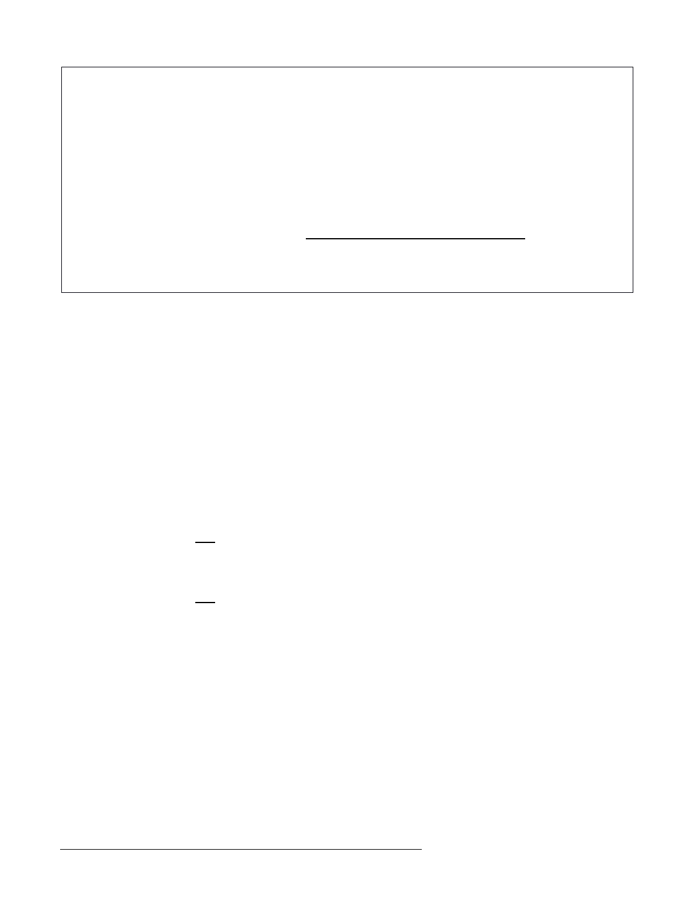### SECTION 2

- $x$  This section contain  $B$ HREE (03) uestion stems.
- x There are TWO (02)questions corresponding to each question stem.
- x The answer to each question is Na MERICAL VALUE
- x For each question enter the correct numerical value corresponding to the answer in the designated using the mouse and the excreen virtual numeric keypad.
- $x$  If the numerical value has more than twe cimal place struncate/round-off the value to TWO decimal places.
- x Answer to each question will be evaluatad cording to the following marking scheme
	- Full Marks : Et If ONLY the correct numerical value is enterted the designated place;
	- Zero Marks : r In all other cases.

## Question Stem for Question Nos. 5 and 6

Question Stem

Three numbers are chosen at random,  $\alpha$  and anotherwith replacement, from the set  $5 \text{ L}$  sá ává ás r  $\frac{4}{15}$  be the probability that the maximum of chos numbers is at least 81 and be the probability that the minimum of chosen numb is at most 40.

- Q.5 Thevalue of  $\frac{169}{8}$  L<sub>5</sub> is 444 ä
- $^{\textrm{Q.6}}$  The value of $\frac{569}{8}$ L $_6$ is 4444 ä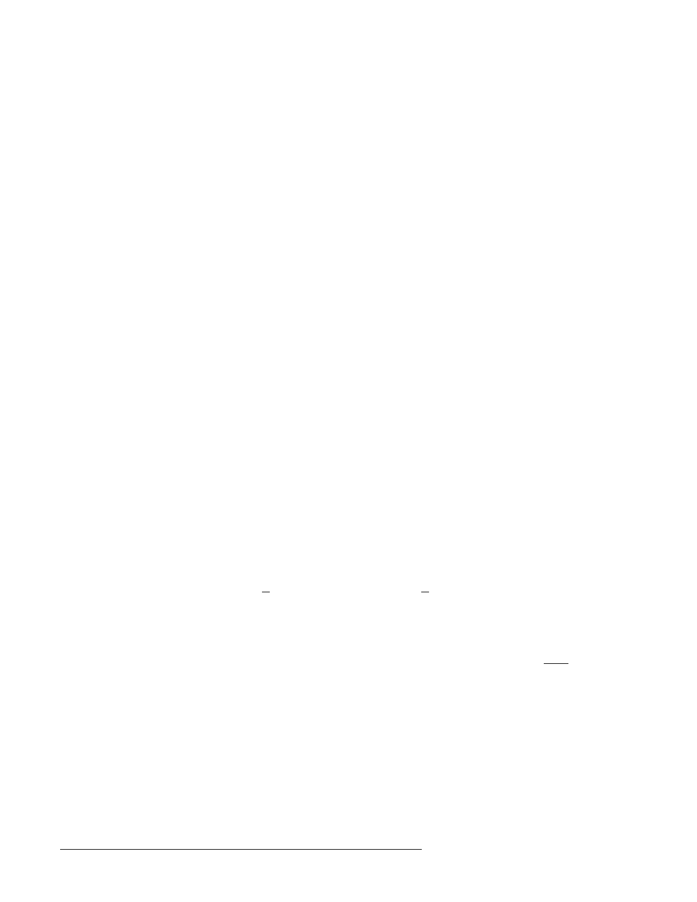**Question Stem** 

Let Ualland Upe real numbers such that the system of linear equations

is consistent Let / represent the determinant of the matrix

\n
$$
\dot{U} \text{ t } \hat{U}
$$
  
\n $\dot{L} \text{ e} \dot{U} \text{ s } \text{ r i}$   
\n $\dot{F} \text{s} \text{ r } \text{s}$ \n

Let 2be the planeontainingall those: UaUaL for which the above system of line equations is consistent, and be the square of the distance of the pointr as at; from theplane 2

Q.7 The value of M is 444

Q.8 The value of & is 444

Question Stem for Question Nos9 and 10 **Question Stem** 

Consider the lines  $_5$  and  $.6$  defined by

 $1.5$   $\overline{a}$  T $\overline{a}$  E UF s L r and  $1.6$   $\overline{a}$  T $\overline{a}$  F UE s L r

"  $f \circ \xi \pm \pi$  '  $\bullet - f$  let % be the locus of a poin 2 such that the product of th distance of 2 from  $\cdot$  5 and the distance of from  $\cdot$  6 is  $\tilde{a}^6$ . The line UL t T E s meets % at two points 4 and 5 awhere the distance betweerand 5 is  $\frac{3}{4}$  y r

Let theperpendicular bisector of 5meet % at two distinct points 4"and 5<sup>n\*</sup> det & be the square of the distance between 4 "and 5."

Q.9 The value of  $\tilde{a}^6$  is  $444$ 

Q.10 The value of & is 444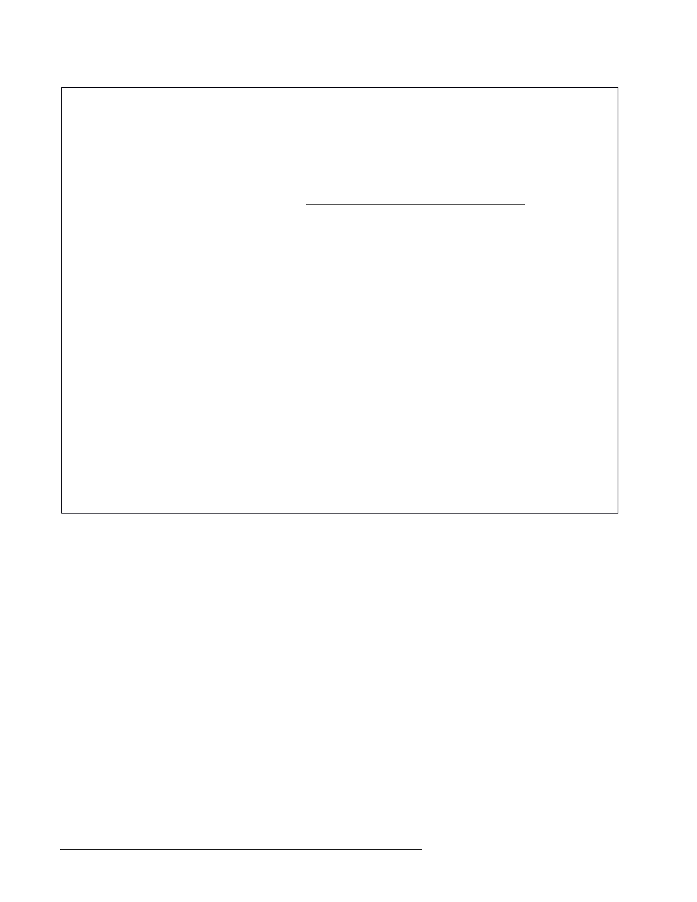SECTION 3 x This section contain  $\mathbb{S}$ IX(06) questions. x Each question has OUR ptions (A), (B), (C) and (DONE OR MORE THAN ON These four  $option(s)$  is (are)  $correct answer(s)$ .  $x$  For each question, choose the option (s) corresponding to (all) the correct answer (s). x Answer to each question will be evaluated according to the following marking scheme Full Marks  $\therefore$  Ev If only (all) the correct option(s) is(arehosen; Partial Marks : Eu If all the four options are correctut ONLY three options are chosen Partial Marks : Et If three or more options are correct but ONLY two options are chosen, both which are correct; Partial Marks : Es If two or more options are correct but ONLY one option is chosen and it is a correct option; Zero Marks : r If unanswered Negative Marks Ft In all other cases  $x$  For example, in a question, if (A))  $AB$ d (D) are the ONLY three ptions corresponding to correct answersthen choosing ONLY  $(A)$ ,  $(B)$  and  $(D)$  get Evmarks; choosing  $ONLMA$ ) and  $B$ ) will get  $Et$  marks; choosing ONLY(A) and (D) will get Et marks; choosing ONLY  $(\text{End } \mathsf{D})$  will get Et marks; choosing ONLY (A) will get smark; choosing ONLY (B) will get smark; choosing ONLY (D) will getsmark; choosing no option(s) (i.e. the question is unanswered) get r marksand choosing any other optiq $(s)$  will get Ft marks.

Q.11 For any  $u$  H umatrix  $\ell$ , let  $\ell$  denote the determinant of  $\Delta$  et

'L et s t u  $\mathbf u$ z su sz iá2L er r siand (L ez sz sui s r r r s r s u t t v u

If 3 is a nonsingular matrix of order  $H$  u then which of the following statement is (are) TRUE ?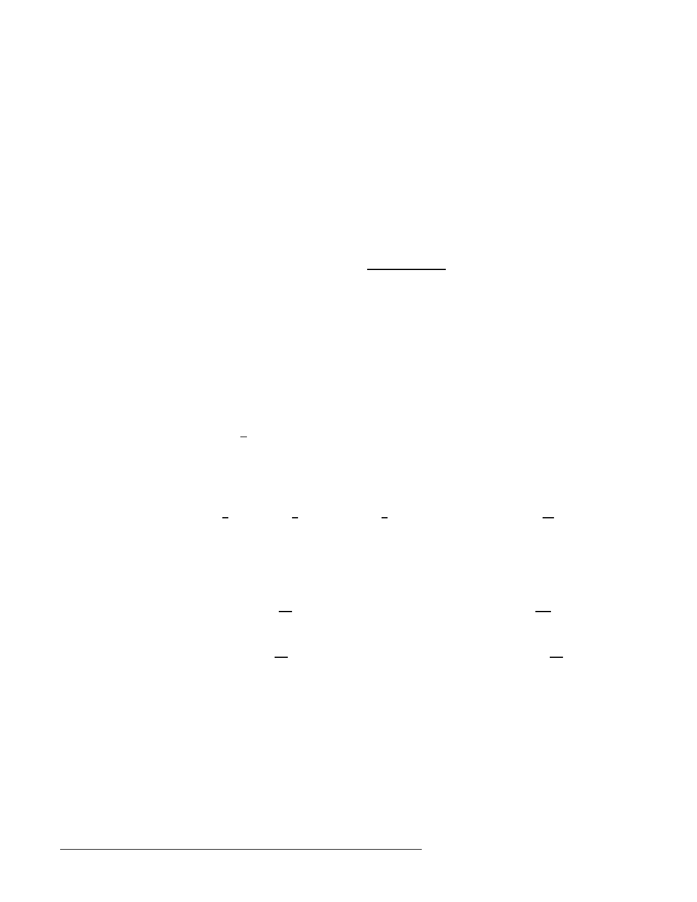(A)  $(L 2' 2$  and  $2^6 L$  er s ri (B) '3 E 2 ( $3^{25}$  L '3 E 2 ( $3^{25}$ (C) :' ( $\frac{7}{7}$  P ' ( $\frac{6}{7}$ 

(D) Sum of the diagonal entries  $d^{25}$  2 E ( is equal tathesum of diagonal entries of  $E 2^{25}$  (2

Q.12 Let Bã9 \ 9 be defined by

B:T; L 
$$
\frac{T^6 \text{ F uTF x}}{T^6 \text{ E t TE v}}
$$

Then which of the following statements (are) TRUE ?

- (A) Bis decreasing in the intervalent  $dF$  s;
- (B) Bis increasing in the intervals at;
- (C) Bis onto
- (D) Range of Bis  $\mathbf{F}_{\frac{1}{6}}^7$  at C
- Q.13 Let ' a and G be three events aving probabilities 2:'; L<sup>5</sup> á 2:(; L<sup>5</sup> f • t2:); L<sup>5</sup> and let 2:'  $\hat{e}$  ( $\hat{e}$ ); L $\frac{5}{54}$ . For any event<sup>\*</sup>, if  $*$ <sup> $\ddot{\circ}$ </sup> denotes its complement, then which of the followi statements is (ard)RUE ?

(A) 2:  $\hat{e}$  ( $\hat{e}$ )  $\ddot{O}$ ;  $Q_{\frac{5}{84}}$ (B) 2:  $\overline{0}$  ê (  $\hat{e}$  );  $Q_{\overline{5}q}$ (D) 2:  $\ddot{O}$   $\hat{e}$  ( $\ddot{O}$   $\hat{e}$ )  $\ddot{O}$ ;  $Q_{\overline{56}}$ (C) 2:  $\ddot{e}$  ( $\ddot{e}$ ); Q $\frac{57}{6}$ 

Q.14 For any u H umatrix /, let / denote the determinant of  $\ddot{a}$  et +be the u H uidentity matrix. Let ' and ( be two u H umatrices such that +F '(; is invertible. If ) L :+F '( $;^{25}$ , then which of the following statemenis (are) TRUE ?

(A)  $(' L +F (' ' ))'$ (B) :+F (';:+E ()'; L +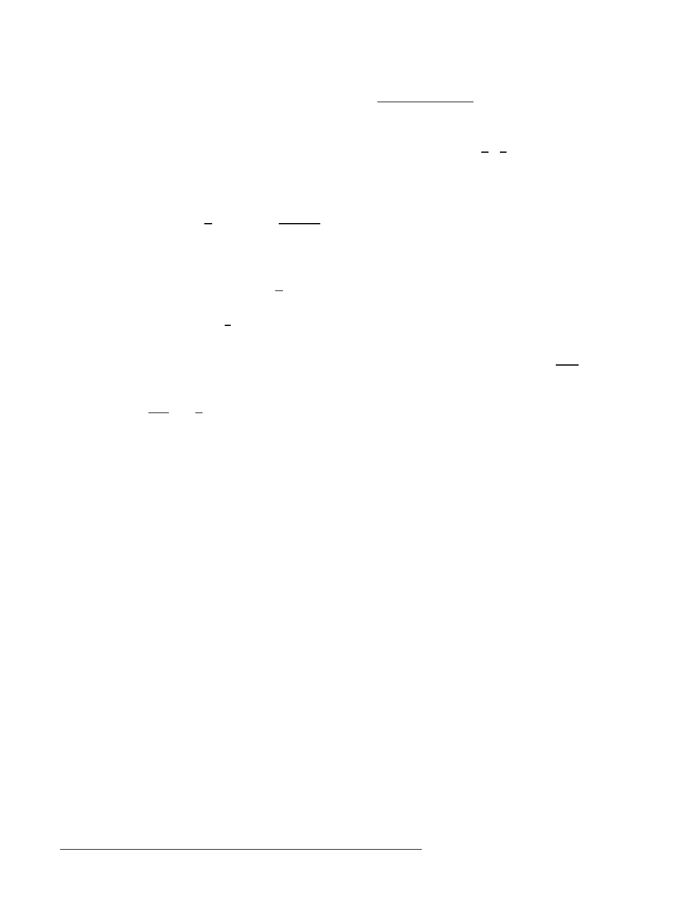$(C)$  '() L)'(  $(D)$ : +F  $('$  ;: +F  $()$  ; L +

### Q.15 For any positive integed fet  $5<sub>4</sub>$   $\tilde{a}$  r  $\tilde{a}$ <sup>y</sup>;  $\setminus$  9 be defined by

$$
5_{\underline{a}}:T; \ L \ \acute{i} \ \underset{\text{p\textcircled{a}}}{\overset{\acute{a}}{\sum}} \dots \ \frac{95}{5} \frac{F}{F} \frac{F \ G \ G E \ s; T^6}{T} \ G \ \acute{a}
$$

where for any T D 9, ... <sup> $\mathfrak{p}_2$ </sup>: T; D : r  $\hat{\mathbf{\omega}}$ ; and  $-f^2\hat{\mathfrak{p}}$ : T; D  $\mathfrak{F}$   $\frac{1}{6}$  A Then which of the following statements (are) TRUE ?

(A)  $5\frac{1}{4}$  T; L  $\frac{1}{6}$  F  $-f^{2}$   $\frac{5}{6}$   $\frac{5}{5}$   $\frac{5}{4}$  Afor all T P r (B)  $\check{Z}$  (•... '. $\mathbf{5}_{\check{a}}$  : T; ; L Tá^ ' "f ŽIŽP r (C) The equation $57 : T$ ; L  $\frac{1}{8}$  has aroot in : r á»;

(D) 
$$
-f k\delta_a
$$
: T; o  $Q_{\widehat{B}}^5$ , for all J R s f • †T P r

Q.16 For any complex numbe  $E \perp ?E E$ ,  $E \oplus f$  "%,  $E \perp E$  è  $\hat{z}$  avhere  $E \perp \sqrt[3]{F}$  s. Let Uand Ube real numbers such that all complex numbers VL TE E satisfying  $f''$   $\circledast$  AL<sub>7</sub>, the ordered pair TaU, lies on the circle

$$
\mathsf{T}^6\mathrel{\mathsf{E}}\mathrel{\mathsf{U}}^6\mathrel{\mathsf{E}}\mathsf{w}\mathsf{T}\mathrel{\mathsf{F}}\mathsf{u}\mathsf{U}\mathsf{E}\mathsf{v}\mathrel{\mathsf{L}}\mathsf{r}
$$

Then which of the following statements (are) TRUE ?

(A) Ù L Fs (B) Ù Ú L v (C) Ù Ú L Fv (D) Ú L v